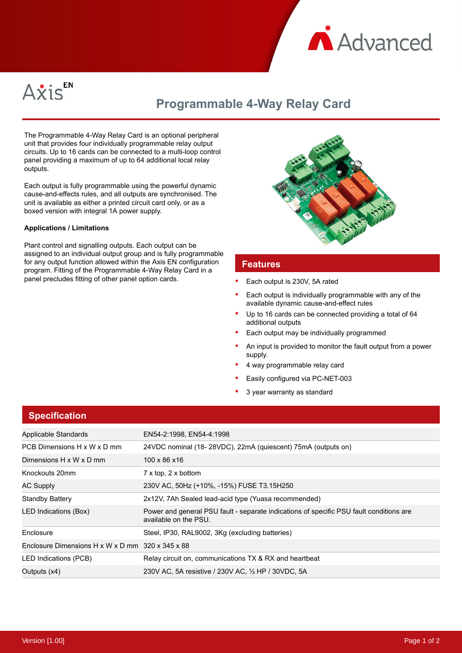



## **Programmable 4-Way Relay Card**

The Programmable 4-Way Relay Card is an optional peripheral unit that provides four individually programmable relay output circuits. Up to 16 cards can be connected to a multi-loop control panel providing a maximum of up to 64 additional local relay outputs.

Each output is fully programmable using the powerful dynamic cause-and-effects rules, and all outputs are synchronised. The unit is available as either a printed circuit card only, or as a boxed version with integral 1A power supply.

#### **Applications / Limitations**

Plant control and signalling outputs. Each output can be assigned to an individual output group and is fully programmable for any output function allowed within the Axis EN configuration program. Fitting of the Programmable 4-Way Relay Card in a panel precludes fitting of other panel option cards.



#### **Features**

- Each output is 230V, 5A rated
- Each output is individually programmable with any of the available dynamic cause-and-effect rules
- Up to 16 cards can be connected providing a total of 64 additional outputs
- Each output may be individually programmed
- An input is provided to monitor the fault output from a power supply.
- 4 way programmable relay card
- Easily configured via PC-NET-003
- 3 year warranty as standard

| <b>Specification</b>                             |                                                                                                                  |
|--------------------------------------------------|------------------------------------------------------------------------------------------------------------------|
| Applicable Standards                             | EN54-2:1998, EN54-4:1998                                                                                         |
| PCB Dimensions H x W x D mm                      | 24VDC nominal (18-28VDC), 22mA (quiescent) 75mA (outputs on)                                                     |
| Dimensions H x W x D mm                          | 100 x 86 x 16                                                                                                    |
| Knockouts 20mm                                   | $7 \times$ top, $2 \times$ bottom                                                                                |
| AC Supply                                        | 230V AC, 50Hz (+10%, -15%) FUSE T3.15H250                                                                        |
| Standby Battery                                  | 2x12V, 7Ah Sealed lead-acid type (Yuasa recommended)                                                             |
| LED Indications (Box)                            | Power and general PSU fault - separate indications of specific PSU fault conditions are<br>available on the PSU. |
| Enclosure                                        | Steel, IP30, RAL9002, 3Kg (excluding batteries)                                                                  |
| Enclosure Dimensions H x W x D mm 320 x 345 x 88 |                                                                                                                  |
| LED Indications (PCB)                            | Relay circuit on, communications TX & RX and heartbeat                                                           |
| Outputs (x4)                                     | 230V AC, 5A resistive / 230V AC, 1/2 HP / 30VDC, 5A                                                              |

## **Specification**